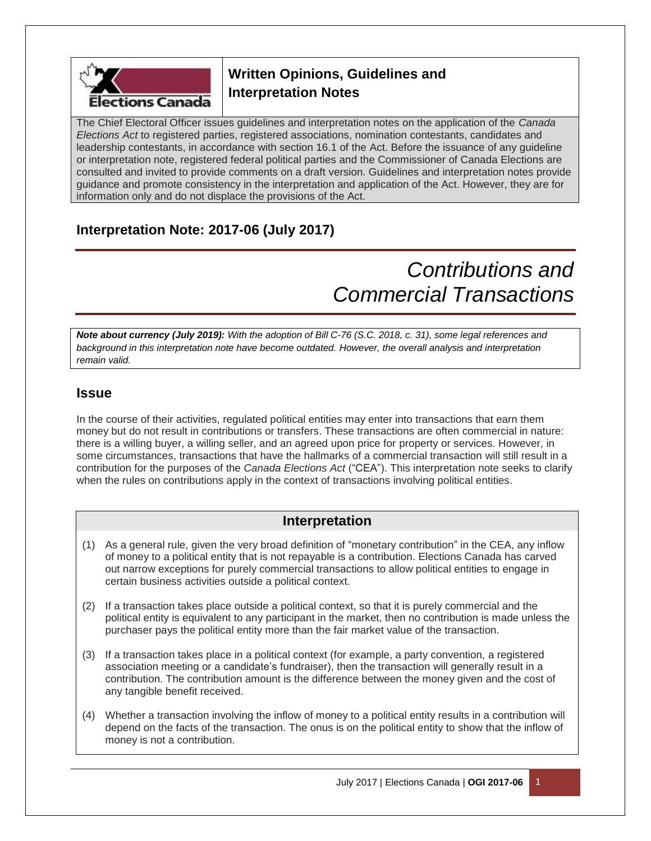

# **Written Opinions, Guidelines and Interpretation Notes**

The Chief Electoral Officer issues guidelines and interpretation notes on the application of the *Canada Elections Act* to registered parties, registered associations, nomination contestants, candidates and leadership contestants, in accordance with section 16.1 of the Act. Before the issuance of any guideline or interpretation note, registered federal political parties and the Commissioner of Canada Elections are consulted and invited to provide comments on a draft version. Guidelines and interpretation notes provide guidance and promote consistency in the interpretation and application of the Act. However, they are for information only and do not displace the provisions of the Act.

# **Interpretation Note: 2017-06 (July 2017)**

# *Contributions and Commercial Transactions*

*Note about currency (July 2019): With the adoption of Bill C-76 (S.C. 2018, c. 31), some legal references and background in this interpretation note have become outdated. However, the overall analysis and interpretation remain valid.*

### **Issue**

In the course of their activities, regulated political entities may enter into transactions that earn them money but do not result in contributions or transfers. These transactions are often commercial in nature: there is a willing buyer, a willing seller, and an agreed upon price for property or services. However, in some circumstances, transactions that have the hallmarks of a commercial transaction will still result in a contribution for the purposes of the *Canada Elections Act* ("CEA"). This interpretation note seeks to clarify when the rules on contributions apply in the context of transactions involving political entities.

## **Interpretation**

- (1) As a general rule, given the very broad definition of "monetary contribution" in the CEA, any inflow of money to a political entity that is not repayable is a contribution. Elections Canada has carved out narrow exceptions for purely commercial transactions to allow political entities to engage in certain business activities outside a political context.
- (2) If a transaction takes place outside a political context, so that it is purely commercial and the political entity is equivalent to any participant in the market, then no contribution is made unless the purchaser pays the political entity more than the fair market value of the transaction.
- (3) If a transaction takes place in a political context (for example, a party convention, a registered association meeting or a candidate's fundraiser), then the transaction will generally result in a contribution. The contribution amount is the difference between the money given and the cost of any tangible benefit received.
- (4) Whether a transaction involving the inflow of money to a political entity results in a contribution will depend on the facts of the transaction. The onus is on the political entity to show that the inflow of money is not a contribution.

July 2017 | Elections Canada | **OGI 2017-06** 1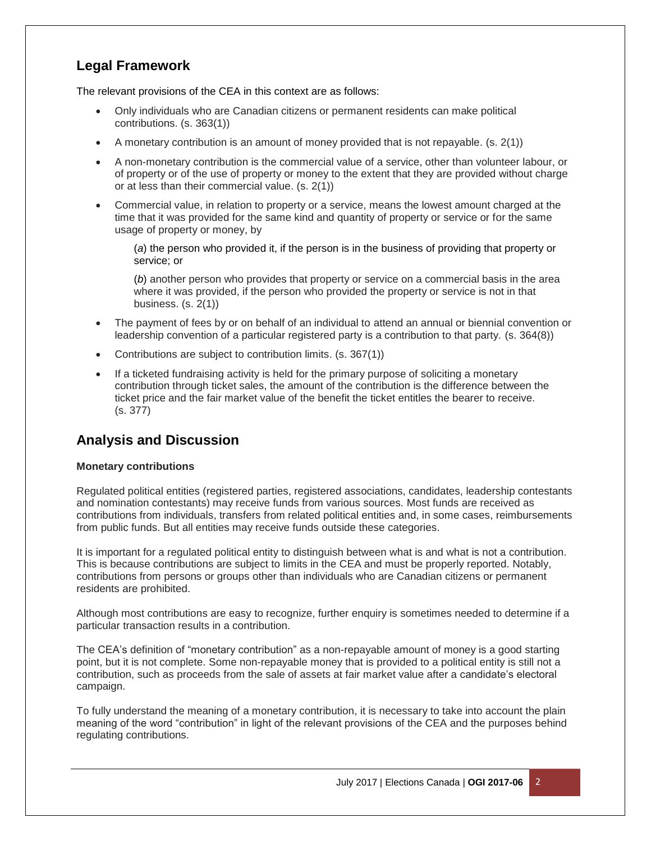# **Legal Framework**

The relevant provisions of the CEA in this context are as follows:

- Only individuals who are Canadian citizens or permanent residents can make political contributions. (s. 363(1))
- A monetary contribution is an amount of money provided that is not repayable. (s. 2(1))
- A non-monetary contribution is the commercial value of a service, other than volunteer labour, or of property or of the use of property or money to the extent that they are provided without charge or at less than their commercial value. (s. 2(1))
- Commercial value, in relation to property or a service, means the lowest amount charged at the time that it was provided for the same kind and quantity of property or service or for the same usage of property or money, by

(*a*) the person who provided it, if the person is in the business of providing that property or service; or

(*b*) another person who provides that property or service on a commercial basis in the area where it was provided, if the person who provided the property or service is not in that business. (s. 2(1))

- The payment of fees by or on behalf of an individual to attend an annual or biennial convention or leadership convention of a particular registered party is a contribution to that party. (s. 364(8))
- Contributions are subject to contribution limits. (s. 367(1))
- If a ticketed fundraising activity is held for the primary purpose of soliciting a monetary contribution through ticket sales, the amount of the contribution is the difference between the ticket price and the fair market value of the benefit the ticket entitles the bearer to receive. (s. 377)

## **Analysis and Discussion**

#### **Monetary contributions**

Regulated political entities (registered parties, registered associations, candidates, leadership contestants and nomination contestants) may receive funds from various sources. Most funds are received as contributions from individuals, transfers from related political entities and, in some cases, reimbursements from public funds. But all entities may receive funds outside these categories.

It is important for a regulated political entity to distinguish between what is and what is not a contribution. This is because contributions are subject to limits in the CEA and must be properly reported. Notably, contributions from persons or groups other than individuals who are Canadian citizens or permanent residents are prohibited.

Although most contributions are easy to recognize, further enquiry is sometimes needed to determine if a particular transaction results in a contribution.

The CEA's definition of "monetary contribution" as a non-repayable amount of money is a good starting point, but it is not complete. Some non-repayable money that is provided to a political entity is still not a contribution, such as proceeds from the sale of assets at fair market value after a candidate's electoral campaign.

To fully understand the meaning of a monetary contribution, it is necessary to take into account the plain meaning of the word "contribution" in light of the relevant provisions of the CEA and the purposes behind regulating contributions.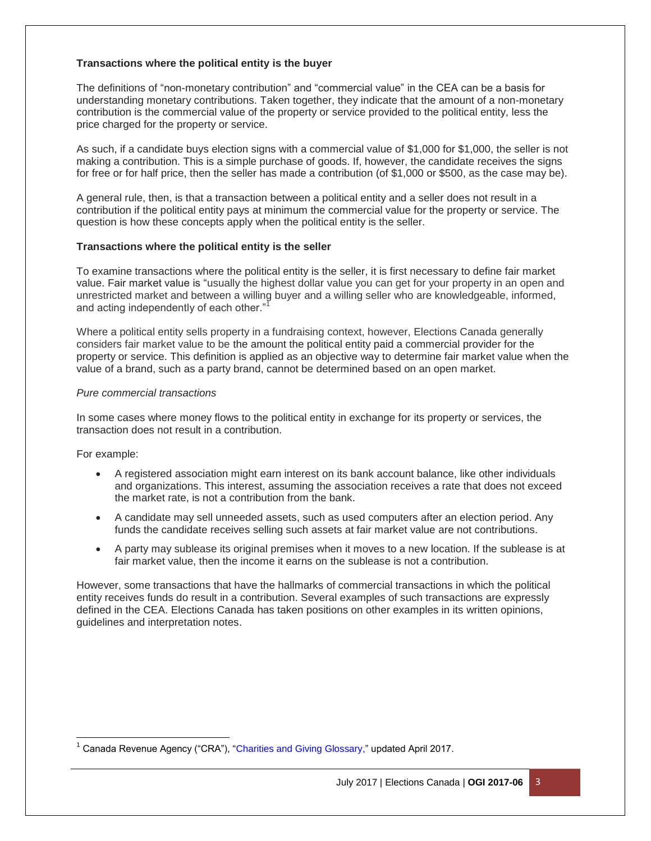#### **Transactions where the political entity is the buyer**

The definitions of "non-monetary contribution" and "commercial value" in the CEA can be a basis for understanding monetary contributions. Taken together, they indicate that the amount of a non-monetary contribution is the commercial value of the property or service provided to the political entity, less the price charged for the property or service.

As such, if a candidate buys election signs with a commercial value of \$1,000 for \$1,000, the seller is not making a contribution. This is a simple purchase of goods. If, however, the candidate receives the signs for free or for half price, then the seller has made a contribution (of \$1,000 or \$500, as the case may be).

A general rule, then, is that a transaction between a political entity and a seller does not result in a contribution if the political entity pays at minimum the commercial value for the property or service. The question is how these concepts apply when the political entity is the seller.

#### **Transactions where the political entity is the seller**

To examine transactions where the political entity is the seller, it is first necessary to define fair market value. Fair market value is "usually the highest dollar value you can get for your property in an open and unrestricted market and between a willing buyer and a willing seller who are knowledgeable, informed, and acting independently of each other."

Where a political entity sells property in a fundraising context, however, Elections Canada generally considers fair market value to be the amount the political entity paid a commercial provider for the property or service. This definition is applied as an objective way to determine fair market value when the value of a brand, such as a party brand, cannot be determined based on an open market.

#### *Pure commercial transactions*

In some cases where money flows to the political entity in exchange for its property or services, the transaction does not result in a contribution.

For example:

- A registered association might earn interest on its bank account balance, like other individuals and organizations. This interest, assuming the association receives a rate that does not exceed the market rate, is not a contribution from the bank.
- A candidate may sell unneeded assets, such as used computers after an election period. Any funds the candidate receives selling such assets at fair market value are not contributions.
- A party may sublease its original premises when it moves to a new location. If the sublease is at fair market value, then the income it earns on the sublease is not a contribution.

However, some transactions that have the hallmarks of commercial transactions in which the political entity receives funds do result in a contribution. Several examples of such transactions are expressly defined in the CEA. Elections Canada has taken positions on other examples in its written opinions, guidelines and interpretation notes.

 $\overline{\phantom{a}}$ Canada Revenue Agency ("CRA"), ["Charities and Giving Glossary,](http://www.cra-arc.gc.ca/chrts-gvng/chrts/glssry-eng.html)" updated April 2017.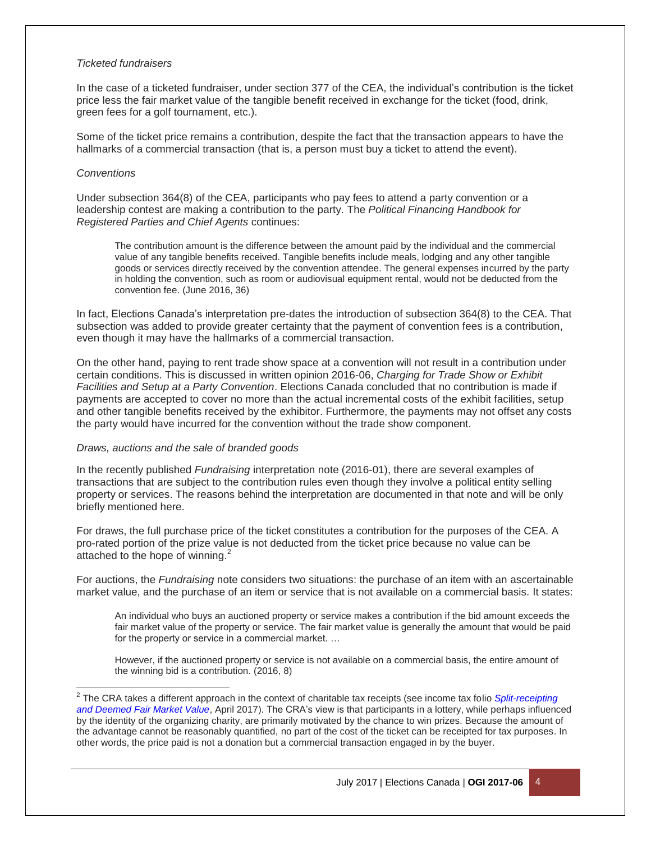#### *Ticketed fundraisers*

In the case of a ticketed fundraiser, under section 377 of the CEA, the individual's contribution is the ticket price less the fair market value of the tangible benefit received in exchange for the ticket (food, drink, green fees for a golf tournament, etc.).

Some of the ticket price remains a contribution, despite the fact that the transaction appears to have the hallmarks of a commercial transaction (that is, a person must buy a ticket to attend the event).

#### *Conventions*

Under subsection 364(8) of the CEA, participants who pay fees to attend a party convention or a leadership contest are making a contribution to the party. The *Political Financing Handbook for Registered Parties and Chief Agents* continues:

The contribution amount is the difference between the amount paid by the individual and the commercial value of any tangible benefits received. Tangible benefits include meals, lodging and any other tangible goods or services directly received by the convention attendee. The general expenses incurred by the party in holding the convention, such as room or audiovisual equipment rental, would not be deducted from the convention fee. (June 2016, 36)

In fact, Elections Canada's interpretation pre-dates the introduction of subsection 364(8) to the CEA. That subsection was added to provide greater certainty that the payment of convention fees is a contribution, even though it may have the hallmarks of a commercial transaction.

On the other hand, paying to rent trade show space at a convention will not result in a contribution under certain conditions. This is discussed in written opinion 2016-06, *Charging for Trade Show or Exhibit Facilities and Setup at a Party Convention*. Elections Canada concluded that no contribution is made if payments are accepted to cover no more than the actual incremental costs of the exhibit facilities, setup and other tangible benefits received by the exhibitor. Furthermore, the payments may not offset any costs the party would have incurred for the convention without the trade show component.

#### *Draws, auctions and the sale of branded goods*

In the recently published *Fundraising* interpretation note (2016-01), there are several examples of transactions that are subject to the contribution rules even though they involve a political entity selling property or services. The reasons behind the interpretation are documented in that note and will be only briefly mentioned here.

For draws, the full purchase price of the ticket constitutes a contribution for the purposes of the CEA. A pro-rated portion of the prize value is not deducted from the ticket price because no value can be attached to the hope of winning.<sup>2</sup>

For auctions, the *Fundraising* note considers two situations: the purchase of an item with an ascertainable market value, and the purchase of an item or service that is not available on a commercial basis. It states:

An individual who buys an auctioned property or service makes a contribution if the bid amount exceeds the fair market value of the property or service. The fair market value is generally the amount that would be paid for the property or service in a commercial market. …

However, if the auctioned property or service is not available on a commercial basis, the entire amount of the winning bid is a contribution. (2016, 8)

 2 The CRA takes a different approach in the context of charitable tax receipts (see income tax folio *[Split-receipting](http://www.cra-arc.gc.ca/tx/tchncl/ncmtx/fls/s7/f1/s7-f1-c1-eng.html)  [and Deemed Fair Market Value](http://www.cra-arc.gc.ca/tx/tchncl/ncmtx/fls/s7/f1/s7-f1-c1-eng.html)*, April 2017). The CRA's view is that participants in a lottery, while perhaps influenced by the identity of the organizing charity, are primarily motivated by the chance to win prizes. Because the amount of the advantage cannot be reasonably quantified, no part of the cost of the ticket can be receipted for tax purposes. In other words, the price paid is not a donation but a commercial transaction engaged in by the buyer.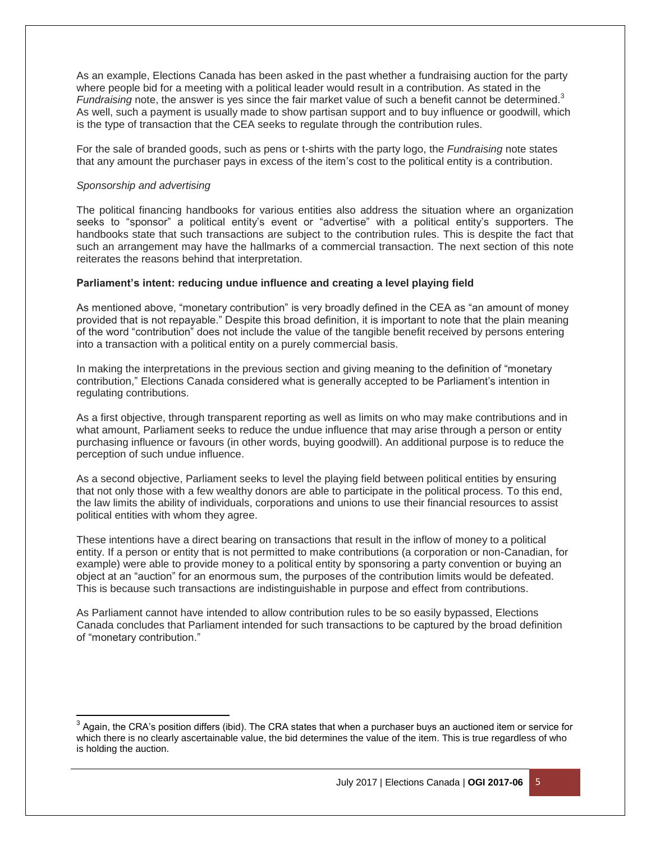As an example, Elections Canada has been asked in the past whether a fundraising auction for the party where people bid for a meeting with a political leader would result in a contribution. As stated in the Fundraising note, the answer is yes since the fair market value of such a benefit cannot be determined.<sup>3</sup> As well, such a payment is usually made to show partisan support and to buy influence or goodwill, which is the type of transaction that the CEA seeks to regulate through the contribution rules.

For the sale of branded goods, such as pens or t-shirts with the party logo, the *Fundraising* note states that any amount the purchaser pays in excess of the item's cost to the political entity is a contribution.

#### *Sponsorship and advertising*

 $\overline{\phantom{a}}$ 

The political financing handbooks for various entities also address the situation where an organization seeks to "sponsor" a political entity's event or "advertise" with a political entity's supporters. The handbooks state that such transactions are subject to the contribution rules. This is despite the fact that such an arrangement may have the hallmarks of a commercial transaction. The next section of this note reiterates the reasons behind that interpretation.

#### **Parliament's intent: reducing undue influence and creating a level playing field**

As mentioned above, "monetary contribution" is very broadly defined in the CEA as "an amount of money provided that is not repayable." Despite this broad definition, it is important to note that the plain meaning of the word "contribution" does not include the value of the tangible benefit received by persons entering into a transaction with a political entity on a purely commercial basis.

In making the interpretations in the previous section and giving meaning to the definition of "monetary contribution," Elections Canada considered what is generally accepted to be Parliament's intention in regulating contributions.

As a first objective, through transparent reporting as well as limits on who may make contributions and in what amount, Parliament seeks to reduce the undue influence that may arise through a person or entity purchasing influence or favours (in other words, buying goodwill). An additional purpose is to reduce the perception of such undue influence.

As a second objective, Parliament seeks to level the playing field between political entities by ensuring that not only those with a few wealthy donors are able to participate in the political process. To this end, the law limits the ability of individuals, corporations and unions to use their financial resources to assist political entities with whom they agree.

These intentions have a direct bearing on transactions that result in the inflow of money to a political entity. If a person or entity that is not permitted to make contributions (a corporation or non-Canadian, for example) were able to provide money to a political entity by sponsoring a party convention or buying an object at an "auction" for an enormous sum, the purposes of the contribution limits would be defeated. This is because such transactions are indistinguishable in purpose and effect from contributions.

As Parliament cannot have intended to allow contribution rules to be so easily bypassed, Elections Canada concludes that Parliament intended for such transactions to be captured by the broad definition of "monetary contribution."

 $^3$  Again, the CRA's position differs (ibid). The CRA states that when a purchaser buys an auctioned item or service for which there is no clearly ascertainable value, the bid determines the value of the item. This is true regardless of who is holding the auction.